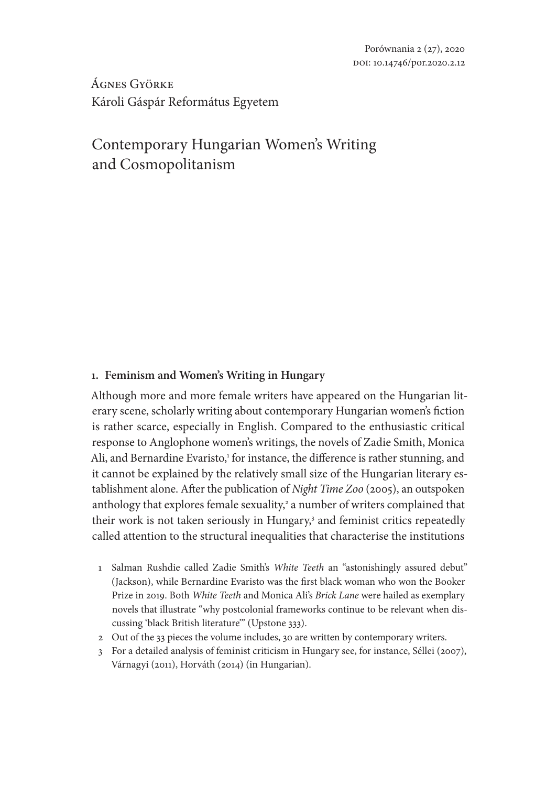Ágnes Györke Károli Gáspár Református Egyetem

# Contemporary Hungarian Women's Writing and Cosmopolitanism

#### **1. Feminism and Women's Writing in Hungary**

Although more and more female writers have appeared on the Hungarian literary scene, scholarly writing about contemporary Hungarian women's fiction is rather scarce, especially in English. Compared to the enthusiastic critical response to Anglophone women's writings, the novels of Zadie Smith, Monica Ali, and Bernardine Evaristo,<sup>1</sup> for instance, the difference is rather stunning, and it cannot be explained by the relatively small size of the Hungarian literary establishment alone. After the publication of *Night Time Zoo* (2005), an outspoken anthology that explores female sexuality,<sup>2</sup> a number of writers complained that their work is not taken seriously in Hungary,<sup>3</sup> and feminist critics repeatedly called attention to the structural inequalities that characterise the institutions

- 1 Salman Rushdie called Zadie Smith's *White Teeth* an "astonishingly assured debut" (Jackson), while Bernardine Evaristo was the first black woman who won the Booker Prize in 2019. Both *White Teeth* and Monica Ali's *Brick Lane* were hailed as exemplary novels that illustrate "why postcolonial frameworks continue to be relevant when discussing 'black British literature'" (Upstone 333).
- 2 Out of the 33 pieces the volume includes, 30 are written by contemporary writers.
- 3 For a detailed analysis of feminist criticism in Hungary see, for instance, Séllei (2007), Várnagyi (2011), Horváth (2014) (in Hungarian).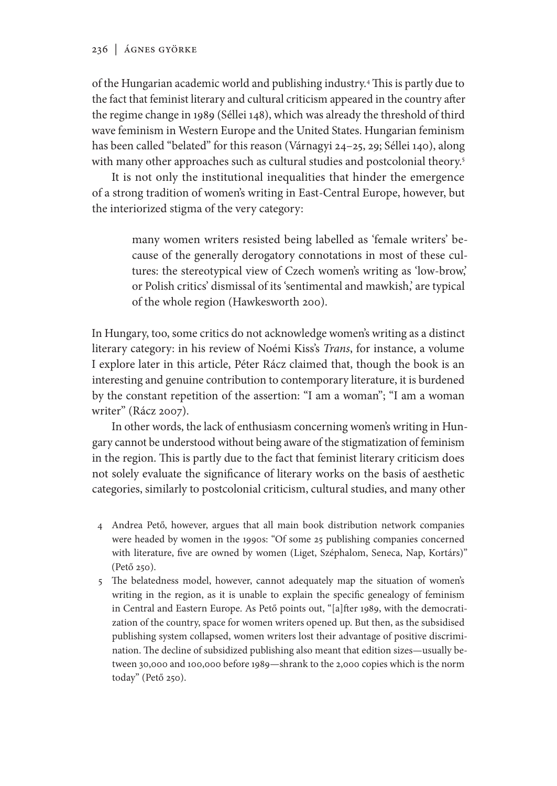of the Hungarian academic world and publishing industry.4 This is partly due to the fact that feminist literary and cultural criticism appeared in the country after the regime change in 1989 (Séllei 148), which was already the threshold of third wave feminism in Western Europe and the United States. Hungarian feminism has been called "belated" for this reason (Várnagyi 24–25, 29; Séllei 140), along with many other approaches such as cultural studies and postcolonial theory.<sup>5</sup>

It is not only the institutional inequalities that hinder the emergence of a strong tradition of women's writing in East-Central Europe, however, but the interiorized stigma of the very category:

> many women writers resisted being labelled as 'female writers' because of the generally derogatory connotations in most of these cultures: the stereotypical view of Czech women's writing as 'low-brow,' or Polish critics' dismissal of its 'sentimental and mawkish,' are typical of the whole region (Hawkesworth 200).

In Hungary, too, some critics do not acknowledge women's writing as a distinct literary category: in his review of Noémi Kiss's *Trans*, for instance, a volume I explore later in this article, Péter Rácz claimed that, though the book is an interesting and genuine contribution to contemporary literature, it is burdened by the constant repetition of the assertion: "I am a woman"; "I am a woman writer" (Rácz 2007).

In other words, the lack of enthusiasm concerning women's writing in Hungary cannot be understood without being aware of the stigmatization of feminism in the region. This is partly due to the fact that feminist literary criticism does not solely evaluate the significance of literary works on the basis of aesthetic categories, similarly to postcolonial criticism, cultural studies, and many other

- 4 Andrea Pető, however, argues that all main book distribution network companies were headed by women in the 1990s: "Of some 25 publishing companies concerned with literature, five are owned by women (Liget, Széphalom, Seneca, Nap, Kortárs)" (Pető 250).
- 5 The belatedness model, however, cannot adequately map the situation of women's writing in the region, as it is unable to explain the specific genealogy of feminism in Central and Eastern Europe. As Pető points out, "[a]fter 1989, with the democratization of the country, space for women writers opened up. But then, as the subsidised publishing system collapsed, women writers lost their advantage of positive discrimination. The decline of subsidized publishing also meant that edition sizes—usually between 30,000 and 100,000 before 1989—shrank to the 2,000 copies which is the norm today" (Pető 250).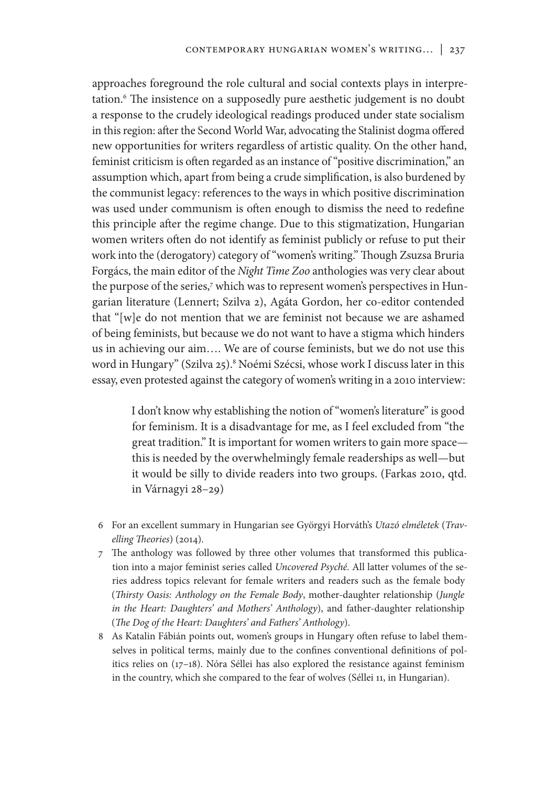approaches foreground the role cultural and social contexts plays in interpretation.<sup>6</sup> The insistence on a supposedly pure aesthetic judgement is no doubt a response to the crudely ideological readings produced under state socialism in this region: after the Second World War, advocating the Stalinist dogma offered new opportunities for writers regardless of artistic quality. On the other hand, feminist criticism is often regarded as an instance of "positive discrimination," an assumption which, apart from being a crude simplification, is also burdened by the communist legacy: references to the ways in which positive discrimination was used under communism is often enough to dismiss the need to redefine this principle after the regime change. Due to this stigmatization, Hungarian women writers often do not identify as feminist publicly or refuse to put their work into the (derogatory) category of "women's writing." Though Zsuzsa Bruria Forgács, the main editor of the *Night Time Zoo* anthologies was very clear about the purpose of the series,<sup>7</sup> which was to represent women's perspectives in Hungarian literature (Lennert; Szilva 2), Agáta Gordon, her co-editor contended that "[w]e do not mention that we are feminist not because we are ashamed of being feminists, but because we do not want to have a stigma which hinders us in achieving our aim…. We are of course feminists, but we do not use this word in Hungary" (Szilva 25).8 Noémi Szécsi, whose work I discuss later in this essay, even protested against the category of women's writing in a 2010 interview:

> I don't know why establishing the notion of "women's literature" is good for feminism. It is a disadvantage for me, as I feel excluded from "the great tradition." It is important for women writers to gain more space this is needed by the overwhelmingly female readerships as well—but it would be silly to divide readers into two groups. (Farkas 2010, qtd. in Várnagyi 28–29)

- 6 For an excellent summary in Hungarian see Györgyi Horváth's *Utazó elméletek* (*Travelling Theories*) (2014).
- 7 The anthology was followed by three other volumes that transformed this publication into a major feminist series called *Uncovered Psyché.* All latter volumes of the series address topics relevant for female writers and readers such as the female body (*Thirsty Oasis: Anthology on the Female Body*, mother-daughter relationship (*Jungle in the Heart: Daughters' and Mothers' Anthology*), and father-daughter relationship (*The Dog of the Heart: Daughters' and Fathers' Anthology*).
- 8 As Katalin Fábián points out, women's groups in Hungary often refuse to label themselves in political terms, mainly due to the confines conventional definitions of politics relies on (17–18). Nóra Séllei has also explored the resistance against feminism in the country, which she compared to the fear of wolves (Séllei 11, in Hungarian).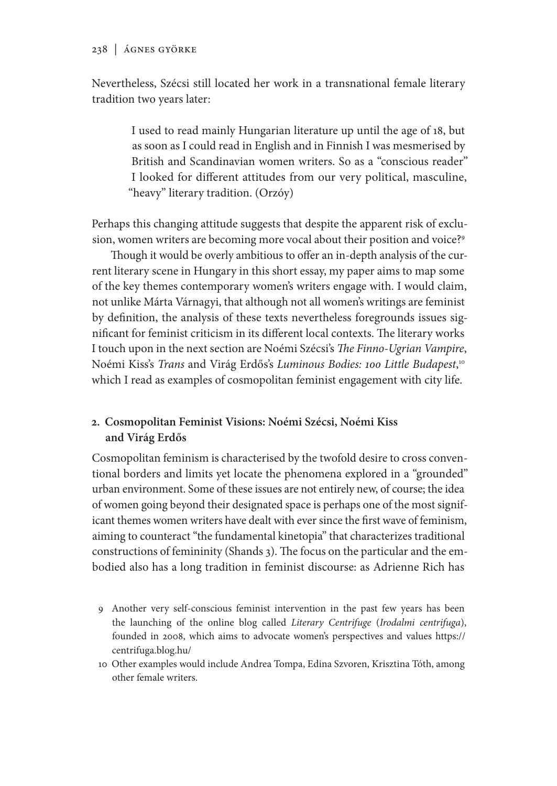Nevertheless, Szécsi still located her work in a transnational female literary tradition two years later:

I used to read mainly Hungarian literature up until the age of 18, but as soon as I could read in English and in Finnish I was mesmerised by British and Scandinavian women writers. So as a "conscious reader" I looked for different attitudes from our very political, masculine, "heavy" literary tradition. (Orzóy)

Perhaps this changing attitude suggests that despite the apparent risk of exclusion, women writers are becoming more vocal about their position and voice?<sup>9</sup>

Though it would be overly ambitious to offer an in-depth analysis of the current literary scene in Hungary in this short essay, my paper aims to map some of the key themes contemporary women's writers engage with. I would claim, not unlike Márta Várnagyi, that although not all women's writings are feminist by definition, the analysis of these texts nevertheless foregrounds issues significant for feminist criticism in its different local contexts. The literary works I touch upon in the next section are Noémi Szécsi's *The Finno-Ugrian Vampire*, Noémi Kiss's *Trans* and Virág Erdős's *Luminous Bodies: 100 Little Budapest*, 10 which I read as examples of cosmopolitan feminist engagement with city life.

# **2. Cosmopolitan Feminist Visions: Noémi Szécsi, Noémi Kiss and Virág Erdős**

Cosmopolitan feminism is characterised by the twofold desire to cross conventional borders and limits yet locate the phenomena explored in a "grounded" urban environment. Some of these issues are not entirely new, of course; the idea of women going beyond their designated space is perhaps one of the most significant themes women writers have dealt with ever since the first wave of feminism, aiming to counteract "the fundamental kinetopia" that characterizes traditional constructions of femininity (Shands 3). The focus on the particular and the embodied also has a long tradition in feminist discourse: as Adrienne Rich has

- 9 Another very self-conscious feminist intervention in the past few years has been the launching of the online blog called *Literary Centrifuge* (*Irodalmi centrifuga*), founded in 2008, which aims to advocate women's perspectives and values https:// centrifuga.blog.hu/
- 10 Other examples would include Andrea Tompa, Edina Szvoren, Krisztina Tóth, among other female writers.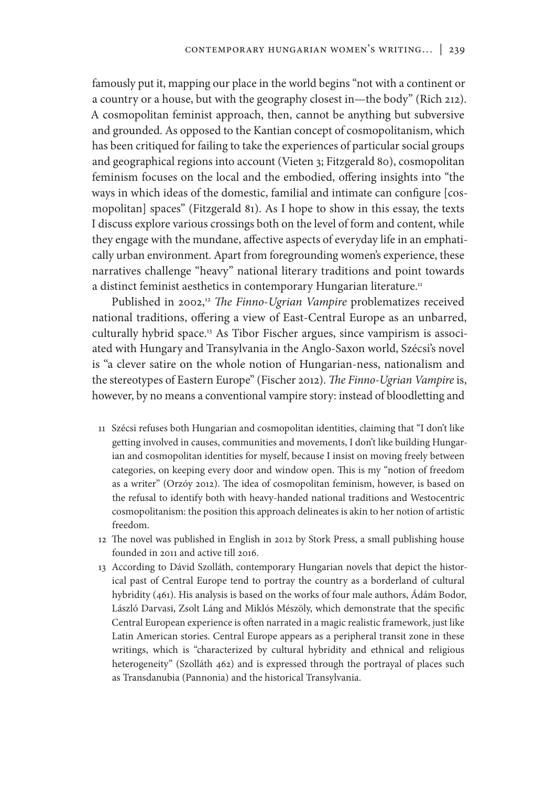famously put it, mapping our place in the world begins "not with a continent or a country or a house, but with the geography closest in—the body" (Rich 212). A cosmopolitan feminist approach, then, cannot be anything but subversive and grounded. As opposed to the Kantian concept of cosmopolitanism, which has been critiqued for failing to take the experiences of particular social groups and geographical regions into account (Vieten 3; Fitzgerald 80), cosmopolitan feminism focuses on the local and the embodied, offering insights into "the ways in which ideas of the domestic, familial and intimate can configure [cosmopolitan] spaces" (Fitzgerald 81). As I hope to show in this essay, the texts I discuss explore various crossings both on the level of form and content, while they engage with the mundane, affective aspects of everyday life in an emphatically urban environment. Apart from foregrounding women's experience, these narratives challenge "heavy" national literary traditions and point towards a distinct feminist aesthetics in contemporary Hungarian literature.<sup>11</sup>

Published in 2002,<sup>12</sup> *The Finno-Ugrian Vampire* problematizes received national traditions, offering a view of East-Central Europe as an unbarred, culturally hybrid space.13 As Tibor Fischer argues, since vampirism is associated with Hungary and Transylvania in the Anglo-Saxon world, Szécsi's novel is "a clever satire on the whole notion of Hungarian-ness, nationalism and the stereotypes of Eastern Europe" (Fischer 2012). *The Finno-Ugrian Vampire* is, however, by no means a conventional vampire story: instead of bloodletting and

- 11 Szécsi refuses both Hungarian and cosmopolitan identities, claiming that "I don't like getting involved in causes, communities and movements, I don't like building Hungarian and cosmopolitan identities for myself, because I insist on moving freely between categories, on keeping every door and window open. This is my "notion of freedom as a writer" (Orzóy 2012). The idea of cosmopolitan feminism, however, is based on the refusal to identify both with heavy-handed national traditions and Westocentric cosmopolitanism: the position this approach delineates is akin to her notion of artistic freedom.
- 12 The novel was published in English in 2012 by Stork Press, a small publishing house founded in 2011 and active till 2016.
- 13 According to Dávid Szolláth, contemporary Hungarian novels that depict the historical past of Central Europe tend to portray the country as a borderland of cultural hybridity (461). His analysis is based on the works of four male authors, Ádám Bodor, László Darvasi, Zsolt Láng and Miklós Mészöly, which demonstrate that the specific Central European experience is often narrated in a magic realistic framework, just like Latin American stories. Central Europe appears as a peripheral transit zone in these writings, which is "characterized by cultural hybridity and ethnical and religious heterogeneity" (Szolláth 462) and is expressed through the portrayal of places such as Transdanubia (Pannonia) and the historical Transylvania.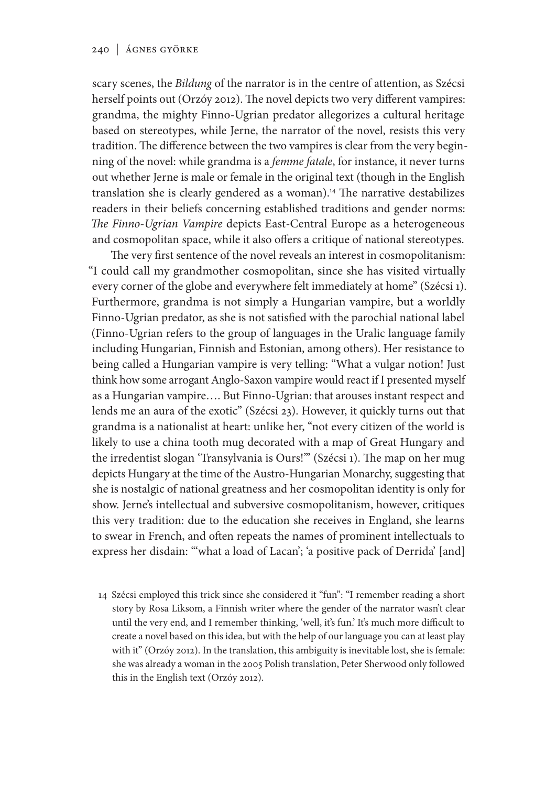scary scenes, the *Bildung* of the narrator is in the centre of attention, as Szécsi herself points out (Orzóy 2012). The novel depicts two very different vampires: grandma, the mighty Finno-Ugrian predator allegorizes a cultural heritage based on stereotypes, while Jerne, the narrator of the novel, resists this very tradition. The difference between the two vampires is clear from the very beginning of the novel: while grandma is a *femme fatale*, for instance, it never turns out whether Jerne is male or female in the original text (though in the English translation she is clearly gendered as a woman).<sup>14</sup> The narrative destabilizes readers in their beliefs concerning established traditions and gender norms: *The Finno-Ugrian Vampire* depicts East-Central Europe as a heterogeneous and cosmopolitan space, while it also offers a critique of national stereotypes.

The very first sentence of the novel reveals an interest in cosmopolitanism: "I could call my grandmother cosmopolitan, since she has visited virtually every corner of the globe and everywhere felt immediately at home" (Szécsi 1). Furthermore, grandma is not simply a Hungarian vampire, but a worldly Finno-Ugrian predator, as she is not satisfied with the parochial national label (Finno-Ugrian refers to the group of languages in the Uralic language family including Hungarian, Finnish and Estonian, among others). Her resistance to being called a Hungarian vampire is very telling: "What a vulgar notion! Just think how some arrogant Anglo-Saxon vampire would react if I presented myself as a Hungarian vampire…. But Finno-Ugrian: that arouses instant respect and lends me an aura of the exotic" (Szécsi 23). However, it quickly turns out that grandma is a nationalist at heart: unlike her, "not every citizen of the world is likely to use a china tooth mug decorated with a map of Great Hungary and the irredentist slogan 'Transylvania is Ours!'" (Szécsi 1). The map on her mug depicts Hungary at the time of the Austro-Hungarian Monarchy, suggesting that she is nostalgic of national greatness and her cosmopolitan identity is only for show. Jerne's intellectual and subversive cosmopolitanism, however, critiques this very tradition: due to the education she receives in England, she learns to swear in French, and often repeats the names of prominent intellectuals to express her disdain: "'what a load of Lacan'; 'a positive pack of Derrida' [and]

14 Szécsi employed this trick since she considered it "fun": "I remember reading a short story by Rosa Liksom, a Finnish writer where the gender of the narrator wasn't clear until the very end, and I remember thinking, 'well, it's fun.' It's much more difficult to create a novel based on this idea, but with the help of our language you can at least play with it" (Orzóy 2012). In the translation, this ambiguity is inevitable lost, she is female: she was already a woman in the 2005 Polish translation, Peter Sherwood only followed this in the English text (Orzóy 2012).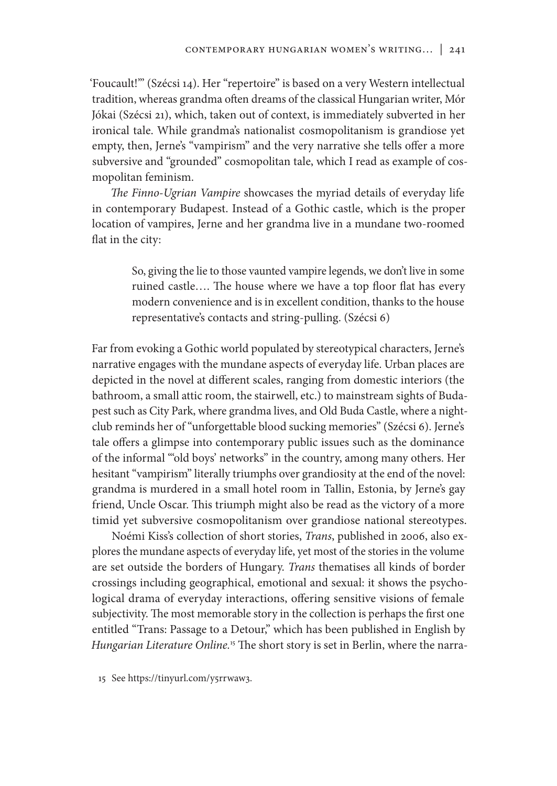'Foucault!'" (Szécsi 14). Her "repertoire" is based on a very Western intellectual tradition, whereas grandma often dreams of the classical Hungarian writer, Mór Jókai (Szécsi 21), which, taken out of context, is immediately subverted in her ironical tale. While grandma's nationalist cosmopolitanism is grandiose yet empty, then, Jerne's "vampirism" and the very narrative she tells offer a more subversive and "grounded" cosmopolitan tale, which I read as example of cosmopolitan feminism.

*The Finno-Ugrian Vampire* showcases the myriad details of everyday life in contemporary Budapest. Instead of a Gothic castle, which is the proper location of vampires, Jerne and her grandma live in a mundane two-roomed flat in the city:

> So, giving the lie to those vaunted vampire legends, we don't live in some ruined castle…. The house where we have a top floor flat has every modern convenience and is in excellent condition, thanks to the house representative's contacts and string-pulling. (Szécsi 6)

Far from evoking a Gothic world populated by stereotypical characters, Jerne's narrative engages with the mundane aspects of everyday life. Urban places are depicted in the novel at different scales, ranging from domestic interiors (the bathroom, a small attic room, the stairwell, etc.) to mainstream sights of Budapest such as City Park, where grandma lives, and Old Buda Castle, where a nightclub reminds her of "unforgettable blood sucking memories" (Szécsi 6). Jerne's tale offers a glimpse into contemporary public issues such as the dominance of the informal "'old boys' networks" in the country, among many others. Her hesitant "vampirism" literally triumphs over grandiosity at the end of the novel: grandma is murdered in a small hotel room in Tallin, Estonia, by Jerne's gay friend, Uncle Oscar. This triumph might also be read as the victory of a more timid yet subversive cosmopolitanism over grandiose national stereotypes.

Noémi Kiss's collection of short stories, *Trans*, published in 2006, also explores the mundane aspects of everyday life, yet most of the stories in the volume are set outside the borders of Hungary. *Trans* thematises all kinds of border crossings including geographical, emotional and sexual: it shows the psychological drama of everyday interactions, offering sensitive visions of female subjectivity. The most memorable story in the collection is perhaps the first one entitled "Trans: Passage to a Detour," which has been published in English by *Hungarian Literature Online.*15 The short story is set in Berlin, where the narra-

15 See https://tinyurl.com/y5rrwaw3.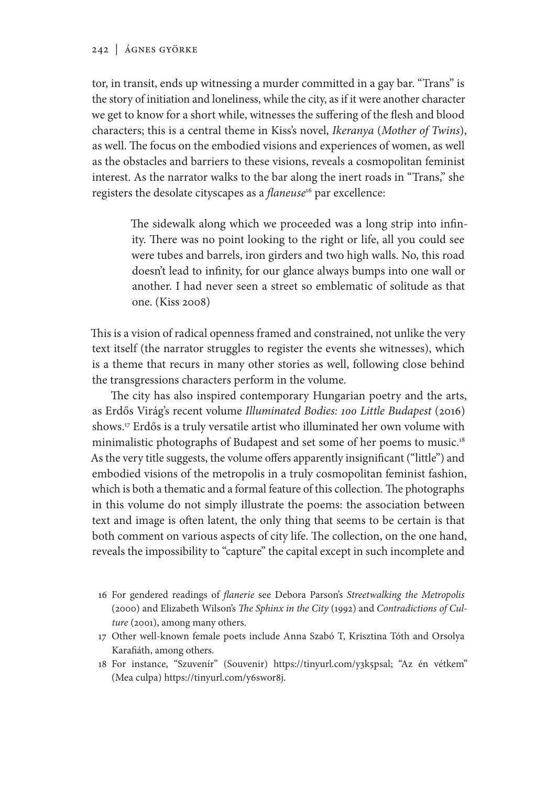tor, in transit, ends up witnessing a murder committed in a gay bar. "Trans" is the story of initiation and loneliness, while the city, as if it were another character we get to know for a short while, witnesses the suffering of the flesh and blood characters; this is a central theme in Kiss's novel, *Ikeranya* (*Mother of Twins*), as well. The focus on the embodied visions and experiences of women, as well as the obstacles and barriers to these visions, reveals a cosmopolitan feminist interest. As the narrator walks to the bar along the inert roads in "Trans," she registers the desolate cityscapes as a *flaneuse*16 par excellence:

> The sidewalk along which we proceeded was a long strip into infinity. There was no point looking to the right or life, all you could see were tubes and barrels, iron girders and two high walls. No, this road doesn't lead to infinity, for our glance always bumps into one wall or another. I had never seen a street so emblematic of solitude as that one. (Kiss 2008)

This is a vision of radical openness framed and constrained, not unlike the very text itself (the narrator struggles to register the events she witnesses), which is a theme that recurs in many other stories as well, following close behind the transgressions characters perform in the volume.

The city has also inspired contemporary Hungarian poetry and the arts, as Erdős Virág's recent volume *Illuminated Bodies: 100 Little Budapest* (2016) shows.17 Erdős is a truly versatile artist who illuminated her own volume with minimalistic photographs of Budapest and set some of her poems to music.18 As the very title suggests, the volume offers apparently insignificant ("little") and embodied visions of the metropolis in a truly cosmopolitan feminist fashion, which is both a thematic and a formal feature of this collection. The photographs in this volume do not simply illustrate the poems: the association between text and image is often latent, the only thing that seems to be certain is that both comment on various aspects of city life. The collection, on the one hand, reveals the impossibility to "capture" the capital except in such incomplete and

- 16 For gendered readings of *flanerie* see Debora Parson's *Streetwalking the Metropolis*  (2000) and Elizabeth Wilson's *The Sphinx in the City* (1992) and *Contradictions of Culture* (2001), among many others.
- 17 Other well-known female poets include Anna Szabó T, Krisztina Tóth and Orsolya Karafiáth, among others.
- 18 For instance, "Szuvenír" (Souvenir) https://tinyurl.com/y3k5psal; "Az én vétkem" (Mea culpa) https://tinyurl.com/y6swor8j.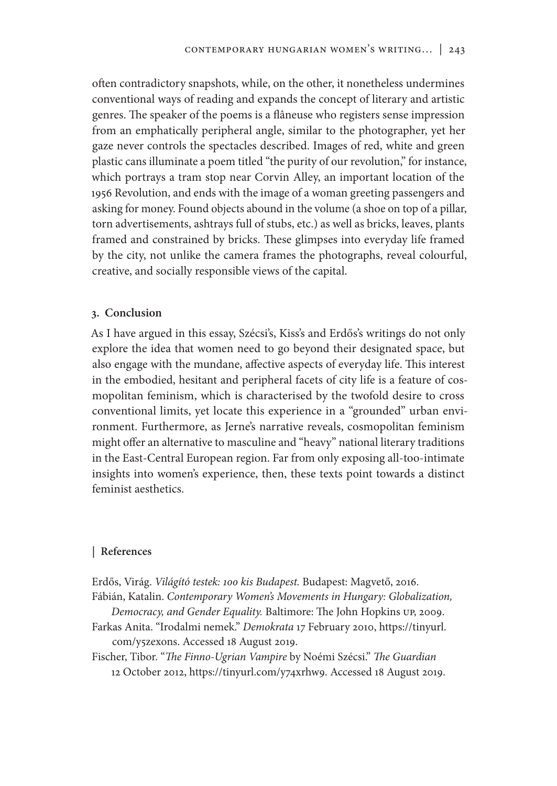often contradictory snapshots, while, on the other, it nonetheless undermines conventional ways of reading and expands the concept of literary and artistic genres. The speaker of the poems is a flâneuse who registers sense impression from an emphatically peripheral angle, similar to the photographer, yet her gaze never controls the spectacles described. Images of red, white and green plastic cans illuminate a poem titled "the purity of our revolution," for instance, which portrays a tram stop near Corvin Alley, an important location of the 1956 Revolution, and ends with the image of a woman greeting passengers and asking for money. Found objects abound in the volume (a shoe on top of a pillar, torn advertisements, ashtrays full of stubs, etc.) as well as bricks, leaves, plants framed and constrained by bricks. These glimpses into everyday life framed by the city, not unlike the camera frames the photographs, reveal colourful, creative, and socially responsible views of the capital.

#### **3. Conclusion**

As I have argued in this essay, Szécsi's, Kiss's and Erdős's writings do not only explore the idea that women need to go beyond their designated space, but also engage with the mundane, affective aspects of everyday life. This interest in the embodied, hesitant and peripheral facets of city life is a feature of cosmopolitan feminism, which is characterised by the twofold desire to cross conventional limits, yet locate this experience in a "grounded" urban environment. Furthermore, as Jerne's narrative reveals, cosmopolitan feminism might offer an alternative to masculine and "heavy" national literary traditions in the East-Central European region. Far from only exposing all-too-intimate insights into women's experience, then, these texts point towards a distinct feminist aesthetics.

#### **| References**

Erdős, Virág. *Világító testek: 100 kis Budapest.* Budapest: Magvető, 2016. Fábián, Katalin. *Contemporary Women's Movements in Hungary: Globalization, Democracy, and Gender Equality.* Baltimore: The John Hopkins UP, 2009.

- Farkas Anita. "Irodalmi nemek." *Demokrata* 17 February 2010, https://tinyurl. com/y5zexons. Accessed 18 August 2019.
- Fischer, Tibor. "*The Finno-Ugrian Vampire* by Noémi Szécsi." *The Guardian*  12 October 2012, https://tinyurl.com/y74xrhw9. Accessed 18 August 2019.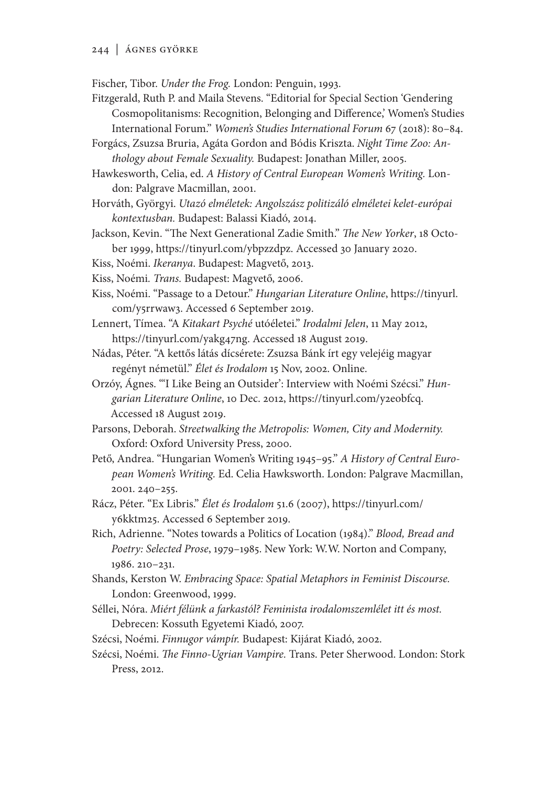Fischer, Tibor. *Under the Frog.* London: Penguin, 1993.

- Fitzgerald, Ruth P. and Maila Stevens. "Editorial for Special Section 'Gendering Cosmopolitanisms: Recognition, Belonging and Difference,' Women's Studies International Forum." *Women's Studies International Forum* 67 (2018): 80–84.
- Forgács, Zsuzsa Bruria, Agáta Gordon and Bódis Kriszta. *Night Time Zoo: Anthology about Female Sexuality.* Budapest: Jonathan Miller, 2005.

Hawkesworth, Celia, ed. *A History of Central European Women's Writing.* London: Palgrave Macmillan, 2001.

- Horváth, Györgyi. *Utazó elméletek: Angolszász politizáló elméletei kelet-európai kontextusban.* Budapest: Balassi Kiadó, 2014.
- Jackson, Kevin. "The Next Generational Zadie Smith." *The New Yorker*, 18 October 1999, https://tinyurl.com/ybpzzdpz. Accessed 30 January 2020.
- Kiss, Noémi. *Ikeranya*. Budapest: Magvető, 2013.
- Kiss, Noémi*. Trans.* Budapest: Magvető, 2006.
- Kiss, Noémi. "Passage to a Detour." *Hungarian Literature Online*, https://tinyurl. com/y5rrwaw3. Accessed 6 September 2019.
- Lennert, Tímea. "A *Kitakart Psyché* utóéletei." *Irodalmi Jelen*, 11 May 2012, https://tinyurl.com/yakg47ng. Accessed 18 August 2019.
- Nádas, Péter. "A kettős látás dícsérete: Zsuzsa Bánk írt egy velejéig magyar regényt németül." *Élet és Irodalom* 15 Nov, 2002. Online.
- Orzóy, Ágnes. "'I Like Being an Outsider': Interview with Noémi Szécsi." *Hungarian Literature Online*, 10 Dec. 2012, https://tinyurl.com/y2eobfcq. Accessed 18 August 2019.
- Parsons, Deborah. *Streetwalking the Metropolis: Women, City and Modernity.*  Oxford: Oxford University Press, 2000.
- Pető, Andrea. "Hungarian Women's Writing 1945–95." *A History of Central European Women's Writing.* Ed. Celia Hawksworth. London: Palgrave Macmillan, 2001. 240–255.
- Rácz, Péter. "Ex Libris." *Élet és Irodalom* 51.6 (2007), https://tinyurl.com/ y6kktm25. Accessed 6 September 2019.
- Rich, Adrienne. "Notes towards a Politics of Location (1984)." *Blood, Bread and Poetry: Selected Prose*, 1979–1985. New York: W.W. Norton and Company, 1986. 210–231.
- Shands, Kerston W. *Embracing Space: Spatial Metaphors in Feminist Discourse.*  London: Greenwood, 1999.
- Séllei, Nóra. *Miért félünk a farkastól? Feminista irodalomszemlélet itt és most.*  Debrecen: Kossuth Egyetemi Kiadó, 2007.
- Szécsi, Noémi. *Finnugor vámpír.* Budapest: Kijárat Kiadó, 2002.
- Szécsi, Noémi. *The Finno-Ugrian Vampire.* Trans. Peter Sherwood. London: Stork Press, 2012.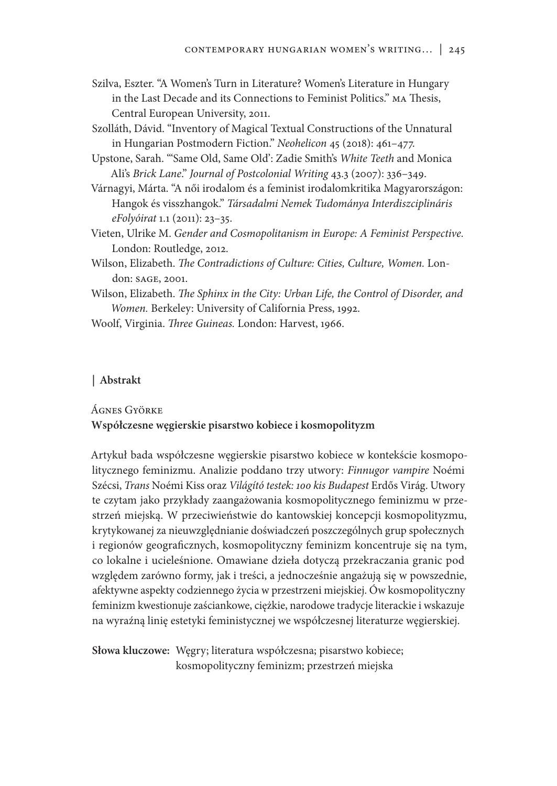- Szilva, Eszter. "A Women's Turn in Literature? Women's Literature in Hungary in the Last Decade and its Connections to Feminist Politics." MA Thesis, Central European University, 2011.
- Szolláth, Dávid. "Inventory of Magical Textual Constructions of the Unnatural in Hungarian Postmodern Fiction." *Neohelicon* 45 (2018): 461–477.
- Upstone, Sarah. "'Same Old, Same Old': Zadie Smith's *White Teeth* and Monica Ali's *Brick Lane*." *Journal of Postcolonial Writing* 43.3 (2007): 336–349.
- Várnagyi, Márta. "A női irodalom és a feminist irodalomkritika Magyarországon: Hangok és visszhangok." *Társadalmi Nemek Tudománya Interdiszciplináris eFolyóirat* 1.1 (2011): 23–35.
- Vieten, Ulrike M. *Gender and Cosmopolitanism in Europe: A Feminist Perspective.*  London: Routledge, 2012.
- Wilson, Elizabeth. *The Contradictions of Culture: Cities, Culture, Women.* London: SAGE, 2001.
- Wilson, Elizabeth. *The Sphinx in the City: Urban Life, the Control of Disorder, and Women.* Berkeley: University of California Press, 1992.

Woolf, Virginia. *Three Guineas.* London: Harvest, 1966.

#### **| Abstrakt**

Ágnes Györke **Współczesne węgierskie pisarstwo kobiece i kosmopolityzm**

Artykuł bada współczesne węgierskie pisarstwo kobiece w kontekście kosmopolitycznego feminizmu. Analizie poddano trzy utwory: *Finnugor vampire* Noémi Szécsi, *Trans* Noémi Kiss oraz *Világító testek: 100 kis Budapest* Erdős Virág. Utwory te czytam jako przykłady zaangażowania kosmopolitycznego feminizmu w przestrzeń miejską. W przeciwieństwie do kantowskiej koncepcji kosmopolityzmu, krytykowanej za nieuwzględnianie doświadczeń poszczególnych grup społecznych i regionów geograficznych, kosmopolityczny feminizm koncentruje się na tym, co lokalne i ucieleśnione. Omawiane dzieła dotyczą przekraczania granic pod względem zarówno formy, jak i treści, a jednocześnie angażują się w powszednie, afektywne aspekty codziennego życia w przestrzeni miejskiej. Ów kosmopolityczny feminizm kwestionuje zaściankowe, ciężkie, narodowe tradycje literackie i wskazuje na wyraźną linię estetyki feministycznej we współczesnej literaturze węgierskiej.

**Słowa kluczowe:** Węgry; literatura współczesna; pisarstwo kobiece; kosmopolityczny feminizm; przestrzeń miejska